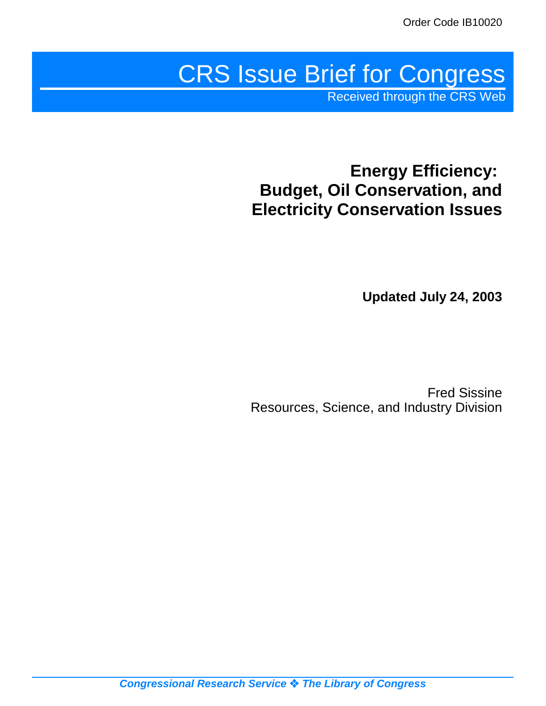# CRS Issue Brief for Congress

Received through the CRS Web

# **Energy Efficiency: Budget, Oil Conservation, and Electricity Conservation Issues**

**Updated July 24, 2003**

Fred Sissine Resources, Science, and Industry Division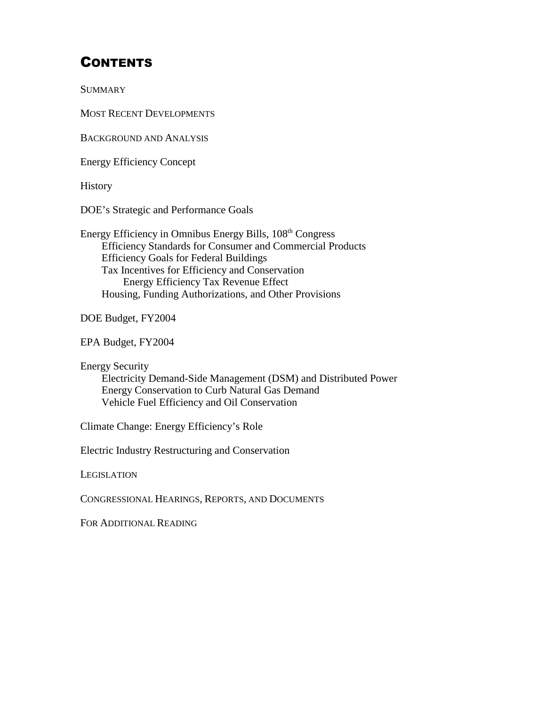# **CONTENTS**

**SUMMARY** 

MOST RECENT DEVELOPMENTS

BACKGROUND AND ANALYSIS

Energy Efficiency Concept

**History** 

DOE's Strategic and Performance Goals

Energy Efficiency in Omnibus Energy Bills, 108th Congress Efficiency Standards for Consumer and Commercial Products Efficiency Goals for Federal Buildings Tax Incentives for Efficiency and Conservation Energy Efficiency Tax Revenue Effect Housing, Funding Authorizations, and Other Provisions

DOE Budget, FY2004

EPA Budget, FY2004

Energy Security

Electricity Demand-Side Management (DSM) and Distributed Power Energy Conservation to Curb Natural Gas Demand Vehicle Fuel Efficiency and Oil Conservation

Climate Change: Energy Efficiency's Role

Electric Industry Restructuring and Conservation

LEGISLATION

CONGRESSIONAL HEARINGS, REPORTS, AND DOCUMENTS

FOR ADDITIONAL READING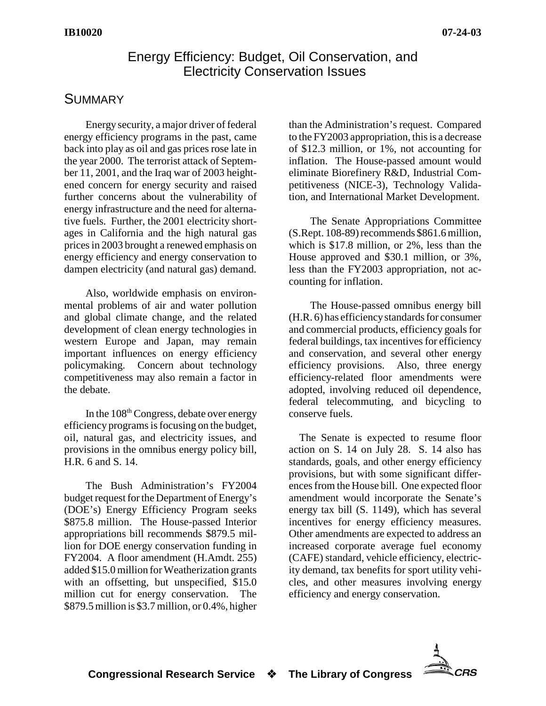## Energy Efficiency: Budget, Oil Conservation, and Electricity Conservation Issues

## **SUMMARY**

Energy security, a major driver of federal energy efficiency programs in the past, came back into play as oil and gas prices rose late in the year 2000. The terrorist attack of September 11, 2001, and the Iraq war of 2003 heightened concern for energy security and raised further concerns about the vulnerability of energy infrastructure and the need for alternative fuels. Further, the 2001 electricity shortages in California and the high natural gas prices in 2003 brought a renewed emphasis on energy efficiency and energy conservation to dampen electricity (and natural gas) demand.

Also, worldwide emphasis on environmental problems of air and water pollution and global climate change, and the related development of clean energy technologies in western Europe and Japan, may remain important influences on energy efficiency policymaking. Concern about technology competitiveness may also remain a factor in the debate.

In the  $108<sup>th</sup> Congress$ , debate over energy efficiency programs is focusing on the budget, oil, natural gas, and electricity issues, and provisions in the omnibus energy policy bill, H.R. 6 and S. 14.

The Bush Administration's FY2004 budget request for the Department of Energy's (DOE's) Energy Efficiency Program seeks \$875.8 million. The House-passed Interior appropriations bill recommends \$879.5 million for DOE energy conservation funding in FY2004. A floor amendment (H.Amdt. 255) added \$15.0 million for Weatherization grants with an offsetting, but unspecified, \$15.0 million cut for energy conservation. The \$879.5 million is \$3.7 million, or 0.4%, higher

than the Administration's request. Compared to the FY2003 appropriation, this is a decrease of \$12.3 million, or 1%, not accounting for inflation. The House-passed amount would eliminate Biorefinery R&D, Industrial Competitiveness (NICE-3), Technology Validation, and International Market Development.

The Senate Appropriations Committee (S.Rept. 108-89) recommends \$861.6 million, which is \$17.8 million, or 2%, less than the House approved and \$30.1 million, or 3%, less than the FY2003 appropriation, not accounting for inflation.

The House-passed omnibus energy bill (H.R. 6) has efficiencystandards for consumer and commercial products, efficiency goals for federal buildings, tax incentives for efficiency and conservation, and several other energy efficiency provisions. Also, three energy efficiency-related floor amendments were adopted, involving reduced oil dependence, federal telecommuting, and bicycling to conserve fuels.

The Senate is expected to resume floor action on S. 14 on July 28. S. 14 also has standards, goals, and other energy efficiency provisions, but with some significant differences from the House bill. One expected floor amendment would incorporate the Senate's energy tax bill (S. 1149), which has several incentives for energy efficiency measures. Other amendments are expected to address an increased corporate average fuel economy (CAFE) standard, vehicle efficiency, electricity demand, tax benefits for sport utility vehicles, and other measures involving energy efficiency and energy conservation.

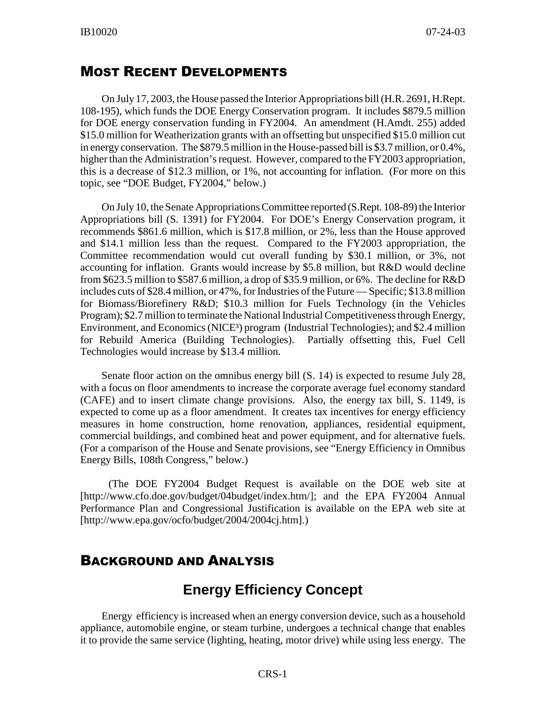#### MOST RECENT DEVELOPMENTS

On July 17, 2003, the House passed the Interior Appropriations bill (H.R. 2691, H.Rept. 108-195), which funds the DOE Energy Conservation program. It includes \$879.5 million for DOE energy conservation funding in FY2004. An amendment (H.Amdt. 255) added \$15.0 million for Weatherization grants with an offsetting but unspecified \$15.0 million cut in energy conservation. The \$879.5 million in the House-passed bill is \$3.7 million, or 0.4%, higher than the Administration's request. However, compared to the FY2003 appropriation, this is a decrease of \$12.3 million, or 1%, not accounting for inflation. (For more on this topic, see "DOE Budget, FY2004," below.)

On July10, the Senate Appropriations Committee reported (S.Rept. 108-89) the Interior Appropriations bill (S. 1391) for FY2004. For DOE's Energy Conservation program, it recommends \$861.6 million, which is \$17.8 million, or 2%, less than the House approved and \$14.1 million less than the request. Compared to the FY2003 appropriation, the Committee recommendation would cut overall funding by \$30.1 million, or 3%, not accounting for inflation. Grants would increase by \$5.8 million, but R&D would decline from \$623.5 million to \$587.6 million, a drop of \$35.9 million, or 6%. The decline for R&D includes cuts of \$28.4 million, or 47%, for Industries of the Future — Specific; \$13.8 million for Biomass/Biorefinery R&D; \$10.3 million for Fuels Technology (in the Vehicles Program); \$2.7 million to terminate the National Industrial Competitiveness through Energy, Environment, and Economics (NICE<sup>3</sup>) program (Industrial Technologies); and \$2.4 million for Rebuild America (Building Technologies). Partially offsetting this, Fuel Cell Technologies would increase by \$13.4 million.

Senate floor action on the omnibus energy bill (S. 14) is expected to resume July 28, with a focus on floor amendments to increase the corporate average fuel economy standard (CAFE) and to insert climate change provisions. Also, the energy tax bill, S. 1149, is expected to come up as a floor amendment. It creates tax incentives for energy efficiency measures in home construction, home renovation, appliances, residential equipment, commercial buildings, and combined heat and power equipment, and for alternative fuels. (For a comparison of the House and Senate provisions, see "Energy Efficiency in Omnibus Energy Bills, 108th Congress," below.)

(The DOE FY2004 Budget Request is available on the DOE web site at [http://www.cfo.doe.gov/budget/04budget/index.htm/]; and the EPA FY2004 Annual Performance Plan and Congressional Justification is available on the EPA web site at [http://www.epa.gov/ocfo/budget/2004/2004cj.htm].)

## BACKGROUND AND ANALYSIS

# **Energy Efficiency Concept**

Energy efficiency is increased when an energy conversion device, such as a household appliance, automobile engine, or steam turbine, undergoes a technical change that enables it to provide the same service (lighting, heating, motor drive) while using less energy. The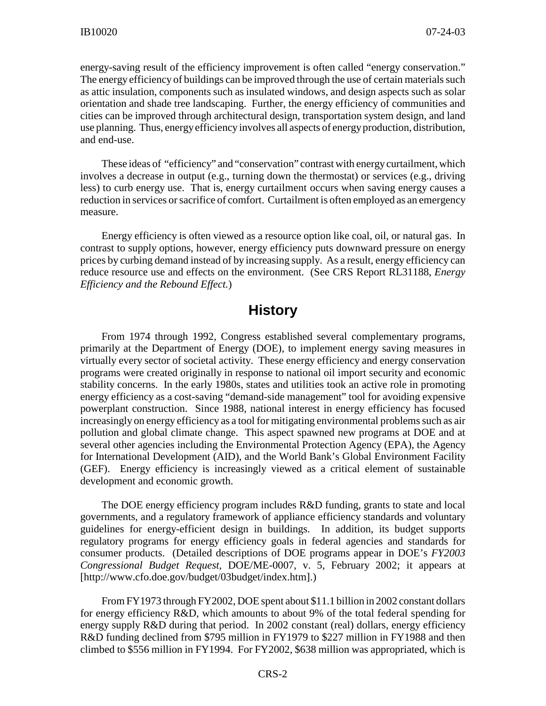energy-saving result of the efficiency improvement is often called "energy conservation." The energy efficiency of buildings can be improved through the use of certain materials such as attic insulation, components such as insulated windows, and design aspects such as solar orientation and shade tree landscaping. Further, the energy efficiency of communities and cities can be improved through architectural design, transportation system design, and land use planning. Thus, energyefficiency involves all aspects of energyproduction, distribution, and end-use.

These ideas of "efficiency" and "conservation" contrast with energycurtailment, which involves a decrease in output (e.g., turning down the thermostat) or services (e.g., driving less) to curb energy use. That is, energy curtailment occurs when saving energy causes a reduction in services or sacrifice of comfort. Curtailment is often employed as an emergency measure.

Energy efficiency is often viewed as a resource option like coal, oil, or natural gas. In contrast to supply options, however, energy efficiency puts downward pressure on energy prices by curbing demand instead of by increasing supply. As a result, energy efficiency can reduce resource use and effects on the environment. (See CRS Report RL31188, *Energy Efficiency and the Rebound Effect.*)

#### **History**

From 1974 through 1992, Congress established several complementary programs, primarily at the Department of Energy (DOE), to implement energy saving measures in virtually every sector of societal activity. These energy efficiency and energy conservation programs were created originally in response to national oil import security and economic stability concerns. In the early 1980s, states and utilities took an active role in promoting energy efficiency as a cost-saving "demand-side management" tool for avoiding expensive powerplant construction. Since 1988, national interest in energy efficiency has focused increasingly on energy efficiency as a tool for mitigating environmental problems such as air pollution and global climate change. This aspect spawned new programs at DOE and at several other agencies including the Environmental Protection Agency (EPA), the Agency for International Development (AID), and the World Bank's Global Environment Facility (GEF). Energy efficiency is increasingly viewed as a critical element of sustainable development and economic growth.

The DOE energy efficiency program includes R&D funding, grants to state and local governments, and a regulatory framework of appliance efficiency standards and voluntary guidelines for energy-efficient design in buildings. In addition, its budget supports regulatory programs for energy efficiency goals in federal agencies and standards for consumer products. (Detailed descriptions of DOE programs appear in DOE's *FY2003 Congressional Budget Request*, DOE/ME-0007, v. 5, February 2002; it appears at [http://www.cfo.doe.gov/budget/03budget/index.htm].)

From FY1973 through FY2002, DOE spent about \$11.1 billion in 2002 constant dollars for energy efficiency R&D, which amounts to about 9% of the total federal spending for energy supply R&D during that period. In 2002 constant (real) dollars, energy efficiency R&D funding declined from \$795 million in FY1979 to \$227 million in FY1988 and then climbed to \$556 million in FY1994. For FY2002, \$638 million was appropriated, which is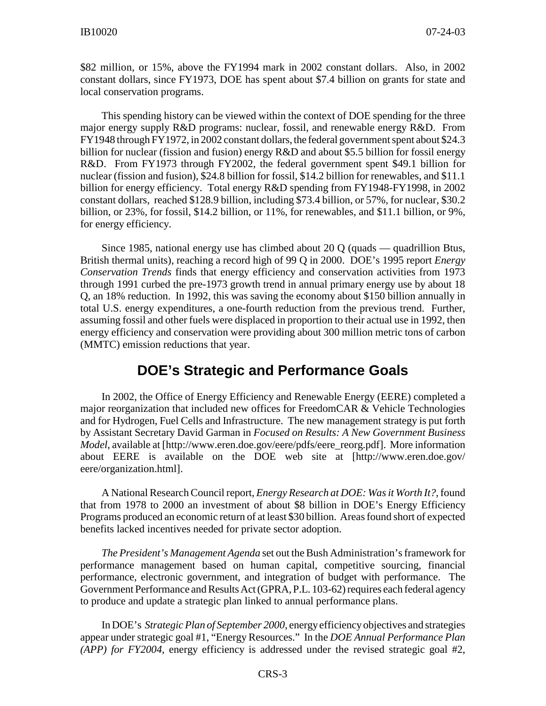\$82 million, or 15%, above the FY1994 mark in 2002 constant dollars. Also, in 2002 constant dollars, since FY1973, DOE has spent about \$7.4 billion on grants for state and local conservation programs.

This spending history can be viewed within the context of DOE spending for the three major energy supply R&D programs: nuclear, fossil, and renewable energy R&D. From FY1948 through FY1972, in 2002 constant dollars, the federal government spent about \$24.3 billion for nuclear (fission and fusion) energy R&D and about \$5.5 billion for fossil energy R&D. From FY1973 through FY2002, the federal government spent \$49.1 billion for nuclear (fission and fusion), \$24.8 billion for fossil, \$14.2 billion for renewables, and \$11.1 billion for energy efficiency. Total energy R&D spending from FY1948-FY1998, in 2002 constant dollars, reached \$128.9 billion, including \$73.4 billion, or 57%, for nuclear, \$30.2 billion, or 23%, for fossil, \$14.2 billion, or 11%, for renewables, and \$11.1 billion, or 9%, for energy efficiency.

Since 1985, national energy use has climbed about 20 Q (quads — quadrillion Btus, British thermal units), reaching a record high of 99 Q in 2000. DOE's 1995 report *Energy Conservation Trends* finds that energy efficiency and conservation activities from 1973 through 1991 curbed the pre-1973 growth trend in annual primary energy use by about 18 Q, an 18% reduction. In 1992, this was saving the economy about \$150 billion annually in total U.S. energy expenditures, a one-fourth reduction from the previous trend. Further, assuming fossil and other fuels were displaced in proportion to their actual use in 1992, then energy efficiency and conservation were providing about 300 million metric tons of carbon (MMTC) emission reductions that year.

## **DOE's Strategic and Performance Goals**

In 2002, the Office of Energy Efficiency and Renewable Energy (EERE) completed a major reorganization that included new offices for FreedomCAR & Vehicle Technologies and for Hydrogen, Fuel Cells and Infrastructure. The new management strategy is put forth by Assistant Secretary David Garman in *Focused on Results: A New Government Business Model*, available at [http://www.eren.doe.gov/eere/pdfs/eere\_reorg.pdf]. More information about EERE is available on the DOE web site at [http://www.eren.doe.gov/ eere/organization.html].

A National Research Council report, *Energy Research at DOE: Was it Worth It?,* found that from 1978 to 2000 an investment of about \$8 billion in DOE's Energy Efficiency Programs produced an economic return of at least \$30 billion. Areas found short of expected benefits lacked incentives needed for private sector adoption.

*The President's Management Agenda* set out the Bush Administration's framework for performance management based on human capital, competitive sourcing, financial performance, electronic government, and integration of budget with performance. The Government Performance and Results Act (GPRA, P.L. 103-62) requires each federal agency to produce and update a strategic plan linked to annual performance plans.

In DOE's *Strategic Plan of September 2000*, energyefficiencyobjectives and strategies appear under strategic goal #1, "Energy Resources." In the *DOE Annual Performance Plan (APP) for FY2004*, energy efficiency is addressed under the revised strategic goal #2,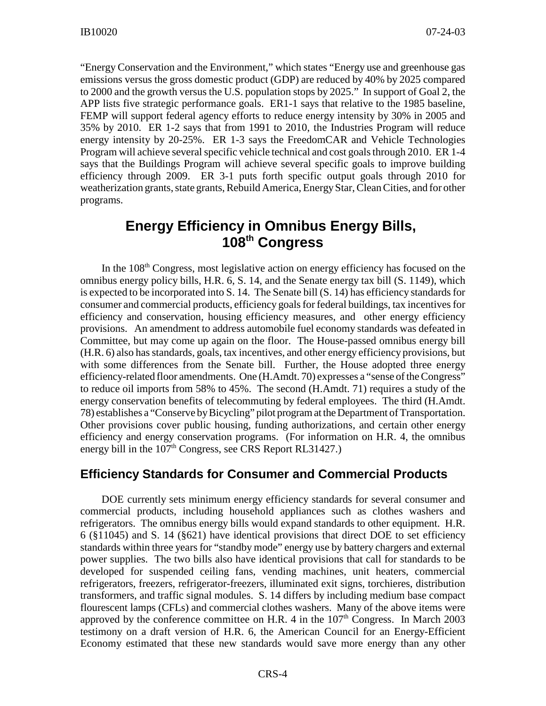"Energy Conservation and the Environment," which states "Energy use and greenhouse gas emissions versus the gross domestic product (GDP) are reduced by 40% by 2025 compared to 2000 and the growth versus the U.S. population stops by 2025." In support of Goal 2, the APP lists five strategic performance goals. ER1-1 says that relative to the 1985 baseline, FEMP will support federal agency efforts to reduce energy intensity by 30% in 2005 and 35% by 2010. ER 1-2 says that from 1991 to 2010, the Industries Program will reduce energy intensity by 20-25%. ER 1-3 says the FreedomCAR and Vehicle Technologies Program will achieve several specific vehicle technical and cost goals through 2010. ER 1-4 says that the Buildings Program will achieve several specific goals to improve building efficiency through 2009. ER 3-1 puts forth specific output goals through 2010 for weatherization grants, state grants, Rebuild America, Energy Star, Clean Cities, and for other programs.

# **Energy Efficiency in Omnibus Energy Bills, 108th Congress**

In the 108<sup>th</sup> Congress, most legislative action on energy efficiency has focused on the omnibus energy policy bills, H.R. 6, S. 14, and the Senate energy tax bill (S. 1149), which is expected to be incorporated into S. 14. The Senate bill (S. 14) has efficiency standards for consumer and commercial products, efficiency goals for federal buildings, tax incentives for efficiency and conservation, housing efficiency measures, and other energy efficiency provisions. An amendment to address automobile fuel economy standards was defeated in Committee, but may come up again on the floor. The House-passed omnibus energy bill (H.R. 6) also has standards, goals, tax incentives, and other energy efficiency provisions, but with some differences from the Senate bill. Further, the House adopted three energy efficiency-related floor amendments. One (H.Amdt. 70) expresses a "sense of the Congress" to reduce oil imports from 58% to 45%. The second (H.Amdt. 71) requires a study of the energy conservation benefits of telecommuting by federal employees. The third (H.Amdt. 78) establishes a "Conserve byBicycling" pilot program at the Department of Transportation. Other provisions cover public housing, funding authorizations, and certain other energy efficiency and energy conservation programs. (For information on H.R. 4, the omnibus energy bill in the  $107<sup>th</sup>$  Congress, see CRS Report RL31427.)

#### **Efficiency Standards for Consumer and Commercial Products**

DOE currently sets minimum energy efficiency standards for several consumer and commercial products, including household appliances such as clothes washers and refrigerators. The omnibus energy bills would expand standards to other equipment. H.R. 6 (§11045) and S. 14 (§621) have identical provisions that direct DOE to set efficiency standards within three years for "standby mode" energy use by battery chargers and external power supplies. The two bills also have identical provisions that call for standards to be developed for suspended ceiling fans, vending machines, unit heaters, commercial refrigerators, freezers, refrigerator-freezers, illuminated exit signs, torchieres, distribution transformers, and traffic signal modules. S. 14 differs by including medium base compact flourescent lamps (CFLs) and commercial clothes washers. Many of the above items were approved by the conference committee on H.R. 4 in the  $107<sup>th</sup>$  Congress. In March 2003 testimony on a draft version of H.R. 6, the American Council for an Energy-Efficient Economy estimated that these new standards would save more energy than any other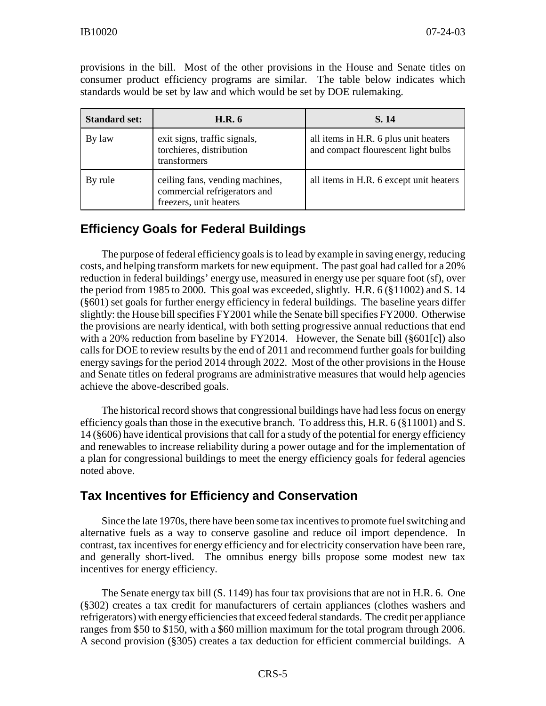provisions in the bill. Most of the other provisions in the House and Senate titles on consumer product efficiency programs are similar. The table below indicates which standards would be set by law and which would be set by DOE rulemaking.

| <b>Standard set:</b> | <b>H.R.</b> 6                                                                             | S. 14                                                                        |  |  |
|----------------------|-------------------------------------------------------------------------------------------|------------------------------------------------------------------------------|--|--|
| By law               | exit signs, traffic signals,<br>torchieres, distribution<br>transformers                  | all items in H.R. 6 plus unit heaters<br>and compact flourescent light bulbs |  |  |
| By rule              | ceiling fans, vending machines,<br>commercial refrigerators and<br>freezers, unit heaters | all items in H.R. 6 except unit heaters                                      |  |  |

# **Efficiency Goals for Federal Buildings**

The purpose of federal efficiency goals is to lead by example in saving energy, reducing costs, and helping transform markets for new equipment. The past goal had called for a 20% reduction in federal buildings' energy use, measured in energy use per square foot (sf), over the period from 1985 to 2000. This goal was exceeded, slightly. H.R.  $6$  ( $\S$ 11002) and S. 14 (§601) set goals for further energy efficiency in federal buildings. The baseline years differ slightly: the House bill specifies FY2001 while the Senate bill specifies FY2000. Otherwise the provisions are nearly identical, with both setting progressive annual reductions that end with a 20% reduction from baseline by FY2014. However, the Senate bill (§601[c]) also calls for DOE to review results by the end of 2011 and recommend further goals for building energy savings for the period 2014 through 2022. Most of the other provisions in the House and Senate titles on federal programs are administrative measures that would help agencies achieve the above-described goals.

The historical record shows that congressional buildings have had less focus on energy efficiency goals than those in the executive branch. To address this, H.R. 6 (§11001) and S. 14 (§606) have identical provisions that call for a study of the potential for energy efficiency and renewables to increase reliability during a power outage and for the implementation of a plan for congressional buildings to meet the energy efficiency goals for federal agencies noted above.

## **Tax Incentives for Efficiency and Conservation**

Since the late 1970s, there have been some tax incentives to promote fuel switching and alternative fuels as a way to conserve gasoline and reduce oil import dependence. In contrast, tax incentives for energy efficiency and for electricity conservation have been rare, and generally short-lived. The omnibus energy bills propose some modest new tax incentives for energy efficiency.

The Senate energy tax bill (S. 1149) has four tax provisions that are not in H.R. 6. One (§302) creates a tax credit for manufacturers of certain appliances (clothes washers and refrigerators) with energyefficiencies that exceed federal standards. The credit per appliance ranges from \$50 to \$150, with a \$60 million maximum for the total program through 2006. A second provision (§305) creates a tax deduction for efficient commercial buildings. A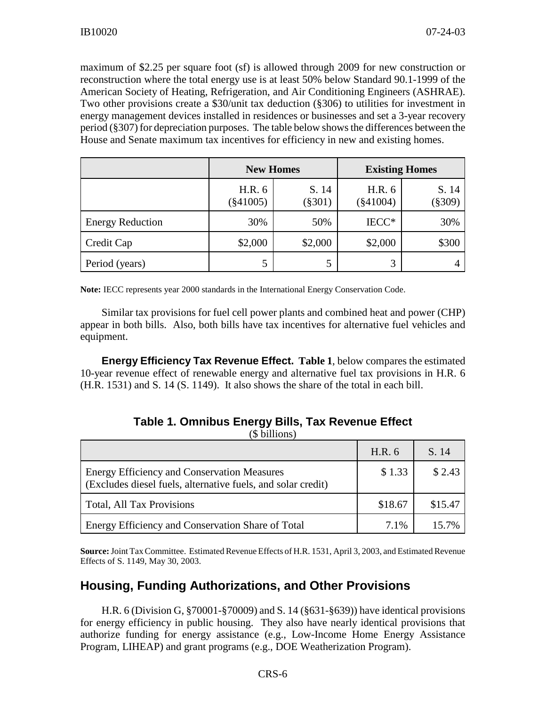maximum of \$2.25 per square foot (sf) is allowed through 2009 for new construction or reconstruction where the total energy use is at least 50% below Standard 90.1-1999 of the American Society of Heating, Refrigeration, and Air Conditioning Engineers (ASHRAE). Two other provisions create a \$30/unit tax deduction (§306) to utilities for investment in energy management devices installed in residences or businesses and set a 3-year recovery period (§307) for depreciation purposes. The table below shows the differences between the House and Senate maximum tax incentives for efficiency in new and existing homes.

|                         | <b>New Homes</b>      |                    | <b>Existing Homes</b> |                    |  |
|-------------------------|-----------------------|--------------------|-----------------------|--------------------|--|
|                         | H.R. 6<br>$(\$41005)$ | S. 14<br>$(\$301)$ | H.R. 6<br>$(\$41004)$ | S. 14<br>$(\$309)$ |  |
| <b>Energy Reduction</b> | 30%                   | 50%                | IECC*                 | 30%                |  |
| Credit Cap              | \$2,000               | \$2,000            | \$2,000               | \$300              |  |
| Period (years)          | 5                     | 5                  | 3                     |                    |  |

**Note:** IECC represents year 2000 standards in the International Energy Conservation Code.

Similar tax provisions for fuel cell power plants and combined heat and power (CHP) appear in both bills. Also, both bills have tax incentives for alternative fuel vehicles and equipment.

**Energy Efficiency Tax Revenue Effect. Table 1**, below compares the estimated 10-year revenue effect of renewable energy and alternative fuel tax provisions in H.R. 6 (H.R. 1531) and S. 14 (S. 1149). It also shows the share of the total in each bill.

|                                                                                                                    | H.R. 6  | S. 14   |
|--------------------------------------------------------------------------------------------------------------------|---------|---------|
| <b>Energy Efficiency and Conservation Measures</b><br>(Excludes diesel fuels, alternative fuels, and solar credit) | \$1.33  | \$2.43  |
| <b>Total, All Tax Provisions</b>                                                                                   | \$18.67 | \$15.47 |
| Energy Efficiency and Conservation Share of Total                                                                  | 7.1%    | 15.7%   |

**Table 1. Omnibus Energy Bills, Tax Revenue Effect** (\$ billions)

**Source:**Joint Tax Committee. Estimated Revenue Effects of H.R. 1531, April 3, 2003, and Estimated Revenue Effects of S. 1149, May 30, 2003.

## **Housing, Funding Authorizations, and Other Provisions**

H.R. 6 (Division G, §70001-§70009) and S. 14 (§631-§639)) have identical provisions for energy efficiency in public housing. They also have nearly identical provisions that authorize funding for energy assistance (e.g., Low-Income Home Energy Assistance Program, LIHEAP) and grant programs (e.g., DOE Weatherization Program).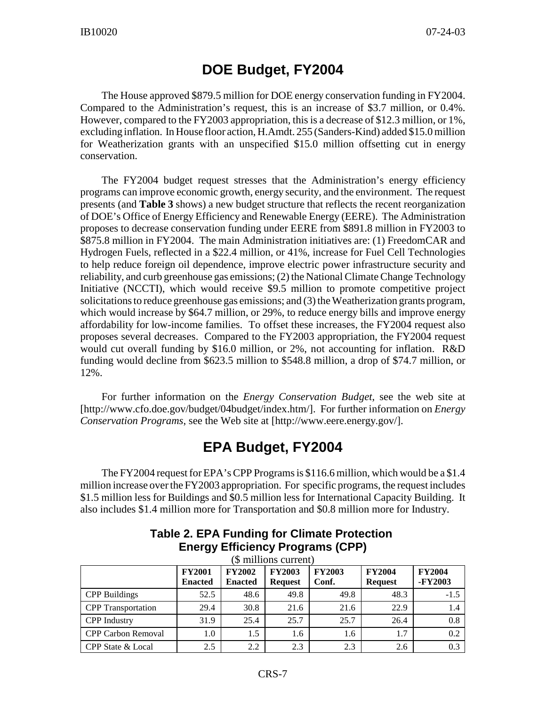# **DOE Budget, FY2004**

The House approved \$879.5 million for DOE energy conservation funding in FY2004. Compared to the Administration's request, this is an increase of \$3.7 million, or 0.4%. However, compared to the FY2003 appropriation, this is a decrease of \$12.3 million, or 1%, excluding inflation. In House floor action, H.Amdt. 255 (Sanders-Kind) added \$15.0 million for Weatherization grants with an unspecified \$15.0 million offsetting cut in energy conservation.

The FY2004 budget request stresses that the Administration's energy efficiency programs can improve economic growth, energy security, and the environment. The request presents (and **Table 3** shows) a new budget structure that reflects the recent reorganization of DOE's Office of Energy Efficiency and Renewable Energy (EERE). The Administration proposes to decrease conservation funding under EERE from \$891.8 million in FY2003 to \$875.8 million in FY2004. The main Administration initiatives are: (1) FreedomCAR and Hydrogen Fuels, reflected in a \$22.4 million, or 41%, increase for Fuel Cell Technologies to help reduce foreign oil dependence, improve electric power infrastructure security and reliability, and curb greenhouse gas emissions; (2) the National Climate Change Technology Initiative (NCCTI), which would receive \$9.5 million to promote competitive project solicitations to reduce greenhouse gas emissions; and (3) the Weatherization grants program, which would increase by \$64.7 million, or 29%, to reduce energy bills and improve energy affordability for low-income families. To offset these increases, the FY2004 request also proposes several decreases. Compared to the FY2003 appropriation, the FY2004 request would cut overall funding by \$16.0 million, or 2%, not accounting for inflation. R&D funding would decline from \$623.5 million to \$548.8 million, a drop of \$74.7 million, or 12%.

For further information on the *Energy Conservation Budget*, see the web site at [http://www.cfo.doe.gov/budget/04budget/index.htm/]. For further information on *Energy Conservation Programs*, see the Web site at [http://www.eere.energy.gov/].

# **EPA Budget, FY2004**

The FY2004 request for EPA's CPP Programs is \$116.6 million, which would be a \$1.4 million increase over the FY2003 appropriation. For specific programs, the request includes \$1.5 million less for Buildings and \$0.5 million less for International Capacity Building. It also includes \$1.4 million more for Transportation and \$0.8 million more for Industry.

| (\$ millions current)     |                                 |                                 |                                 |                        |                                 |                          |  |
|---------------------------|---------------------------------|---------------------------------|---------------------------------|------------------------|---------------------------------|--------------------------|--|
|                           | <b>FY2001</b><br><b>Enacted</b> | <b>FY2002</b><br><b>Enacted</b> | <b>FY2003</b><br><b>Request</b> | <b>FY2003</b><br>Conf. | <b>FY2004</b><br><b>Request</b> | <b>FY2004</b><br>-FY2003 |  |
| <b>CPP</b> Buildings      | 52.5                            | 48.6                            | 49.8                            | 49.8                   | 48.3                            | $-1.5$                   |  |
| <b>CPP</b> Transportation | 29.4                            | 30.8                            | 21.6                            | 21.6                   | 22.9                            | 1.4                      |  |
| <b>CPP</b> Industry       | 31.9                            | 25.4                            | 25.7                            | 25.7                   | 26.4                            | 0.8                      |  |
| CPP Carbon Removal        | 1.0                             | 1.5                             | 1.6                             | 1.6                    | 1.7                             | 0.2                      |  |
| CPP State & Local         | 2.5                             | 2.2                             | 2.3                             | 2.3                    | 2.6                             | 0.3                      |  |

#### **Table 2. EPA Funding for Climate Protection Energy Efficiency Programs (CPP)**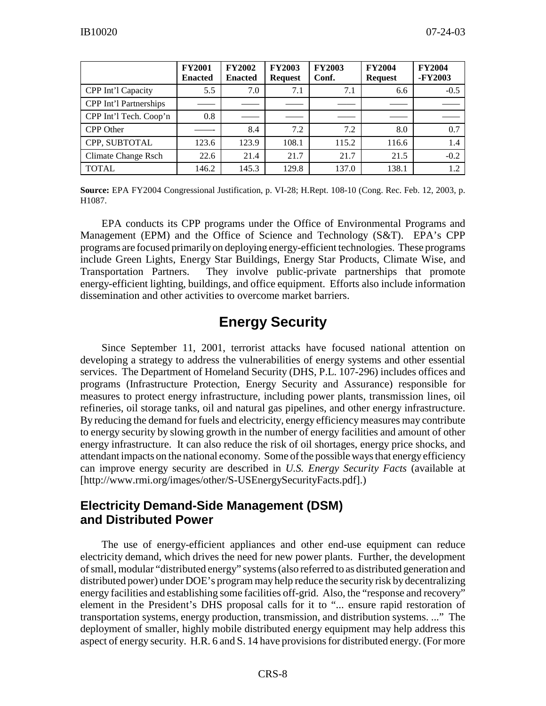|                        | <b>FY2001</b><br><b>Enacted</b> | <b>FY2002</b><br><b>Enacted</b> | <b>FY2003</b><br><b>Request</b> | <b>FY2003</b><br>Conf. | <b>FY2004</b><br><b>Request</b> | <b>FY2004</b><br>-FY2003 |
|------------------------|---------------------------------|---------------------------------|---------------------------------|------------------------|---------------------------------|--------------------------|
| CPP Int'l Capacity     | 5.5                             | 7.0                             | 7.1                             | 7.1                    | 6.6                             | $-0.5$                   |
| CPP Int'l Partnerships |                                 |                                 |                                 |                        |                                 |                          |
| CPP Int'l Tech. Coop'n | 0.8                             |                                 |                                 |                        |                                 |                          |
| <b>CPP</b> Other       |                                 | 8.4                             | 7.2                             | 7.2                    | 8.0                             | 0.7                      |
| CPP, SUBTOTAL          | 123.6                           | 123.9                           | 108.1                           | 115.2                  | 116.6                           | 1.4                      |
| Climate Change Rsch    | 22.6                            | 21.4                            | 21.7                            | 21.7                   | 21.5                            | $-0.2$                   |
| <b>TOTAL</b>           | 146.2                           | 145.3                           | 129.8                           | 137.0                  | 138.1                           | 1.2                      |

**Source:** EPA FY2004 Congressional Justification, p. VI-28; H.Rept. 108-10 (Cong. Rec. Feb. 12, 2003, p. H1087.

EPA conducts its CPP programs under the Office of Environmental Programs and Management (EPM) and the Office of Science and Technology (S&T). EPA's CPP programs are focused primarilyon deploying energy-efficient technologies. These programs include Green Lights, Energy Star Buildings, Energy Star Products, Climate Wise, and Transportation Partners. They involve public-private partnerships that promote energy-efficient lighting, buildings, and office equipment. Efforts also include information dissemination and other activities to overcome market barriers.

# **Energy Security**

Since September 11, 2001, terrorist attacks have focused national attention on developing a strategy to address the vulnerabilities of energy systems and other essential services. The Department of Homeland Security (DHS, P.L. 107-296) includes offices and programs (Infrastructure Protection, Energy Security and Assurance) responsible for measures to protect energy infrastructure, including power plants, transmission lines, oil refineries, oil storage tanks, oil and natural gas pipelines, and other energy infrastructure. By reducing the demand for fuels and electricity, energy efficiency measures may contribute to energy security by slowing growth in the number of energy facilities and amount of other energy infrastructure. It can also reduce the risk of oil shortages, energy price shocks, and attendant impacts on the national economy. Some of the possible ways that energyefficiency can improve energy security are described in *U.S. Energy Security Facts* (available at [http://www.rmi.org/images/other/S-USEnergySecurityFacts.pdf].)

#### **Electricity Demand-Side Management (DSM) and Distributed Power**

The use of energy-efficient appliances and other end-use equipment can reduce electricity demand, which drives the need for new power plants. Further, the development of small, modular "distributed energy" systems(also referred to as distributed generation and distributed power) under DOE's program may help reduce the security risk by decentralizing energy facilities and establishing some facilities off-grid. Also, the "response and recovery" element in the President's DHS proposal calls for it to "... ensure rapid restoration of transportation systems, energy production, transmission, and distribution systems. ..." The deployment of smaller, highly mobile distributed energy equipment may help address this aspect of energy security. H.R. 6 and S. 14 have provisions for distributed energy. (For more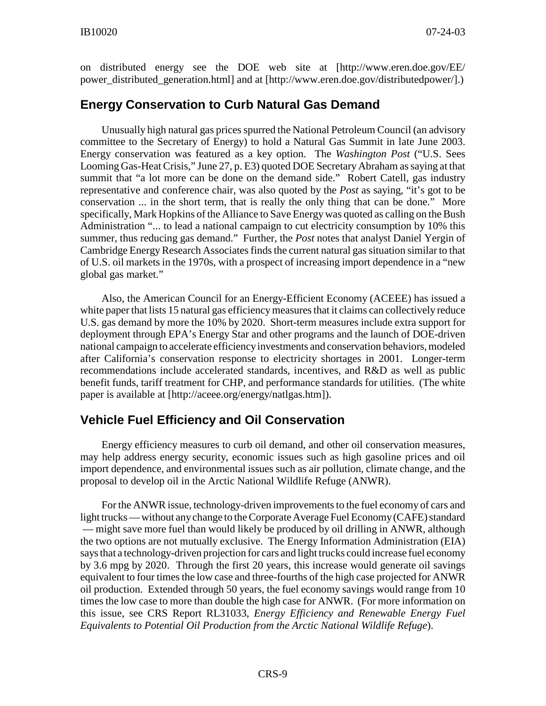on distributed energy see the DOE web site at [http://www.eren.doe.gov/EE/ power\_distributed\_generation.html] and at [http://www.eren.doe.gov/distributedpower/].)

#### **Energy Conservation to Curb Natural Gas Demand**

Unusually high natural gas prices spurred the National Petroleum Council (an advisory committee to the Secretary of Energy) to hold a Natural Gas Summit in late June 2003. Energy conservation was featured as a key option. The *Washington Post* ("U.S. Sees Looming Gas-Heat Crisis," June 27, p. E3) quoted DOE Secretary Abraham as saying at that summit that "a lot more can be done on the demand side." Robert Catell, gas industry representative and conference chair, was also quoted by the *Post* as saying, "it's got to be conservation ... in the short term, that is really the only thing that can be done." More specifically, Mark Hopkins of the Alliance to Save Energy was quoted as calling on the Bush Administration "... to lead a national campaign to cut electricity consumption by 10% this summer, thus reducing gas demand." Further, the *Post* notes that analyst Daniel Yergin of Cambridge Energy Research Associates finds the current natural gas situation similar to that of U.S. oil markets in the 1970s, with a prospect of increasing import dependence in a "new global gas market."

Also, the American Council for an Energy-Efficient Economy (ACEEE) has issued a white paper that lists 15 natural gas efficiency measures that it claims can collectively reduce U.S. gas demand by more the 10% by 2020. Short-term measures include extra support for deployment through EPA's Energy Star and other programs and the launch of DOE-driven national campaign to accelerate efficiencyinvestments and conservation behaviors, modeled after California's conservation response to electricity shortages in 2001. Longer-term recommendations include accelerated standards, incentives, and R&D as well as public benefit funds, tariff treatment for CHP, and performance standards for utilities. (The white paper is available at [http://aceee.org/energy/natlgas.htm]).

#### **Vehicle Fuel Efficiency and Oil Conservation**

Energy efficiency measures to curb oil demand, and other oil conservation measures, may help address energy security, economic issues such as high gasoline prices and oil import dependence, and environmental issues such as air pollution, climate change, and the proposal to develop oil in the Arctic National Wildlife Refuge (ANWR).

For the ANWR issue, technology-driven improvements to the fuel economy of cars and light trucks — without anychange to the Corporate Average Fuel Economy(CAFE) standard — might save more fuel than would likely be produced by oil drilling in ANWR, although the two options are not mutually exclusive. The Energy Information Administration (EIA) says that a technology-driven projection for cars and light trucks could increase fuel economy by 3.6 mpg by 2020. Through the first 20 years, this increase would generate oil savings equivalent to four times the low case and three-fourths of the high case projected for ANWR oil production. Extended through 50 years, the fuel economy savings would range from 10 times the low case to more than double the high case for ANWR. (For more information on this issue, see CRS Report RL31033, *Energy Efficiency and Renewable Energy Fuel Equivalents to Potential Oil Production from the Arctic National Wildlife Refuge*).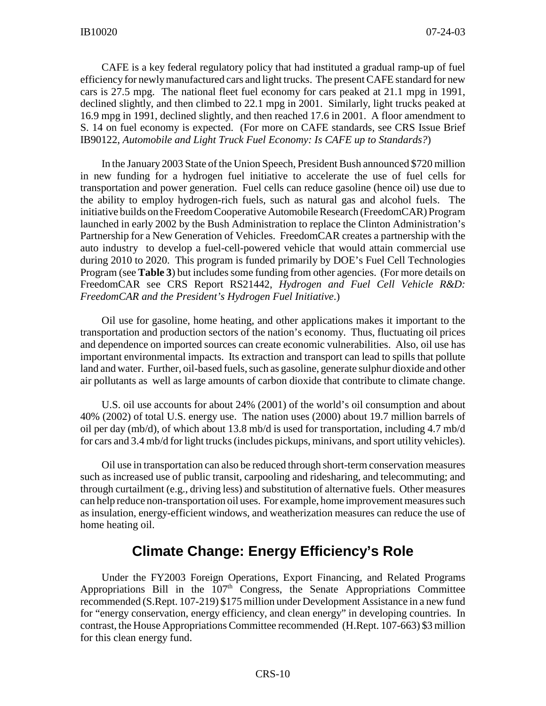CAFE is a key federal regulatory policy that had instituted a gradual ramp-up of fuel efficiency for newly manufactured cars and light trucks. The present CAFE standard for new cars is 27.5 mpg. The national fleet fuel economy for cars peaked at 21.1 mpg in 1991, declined slightly, and then climbed to 22.1 mpg in 2001. Similarly, light trucks peaked at 16.9 mpg in 1991, declined slightly, and then reached 17.6 in 2001. A floor amendment to S. 14 on fuel economy is expected. (For more on CAFE standards, see CRS Issue Brief IB90122, *Automobile and Light Truck Fuel Economy: Is CAFE up to Standards?*)

In the January 2003 State of the Union Speech, President Bush announced \$720 million in new funding for a hydrogen fuel initiative to accelerate the use of fuel cells for transportation and power generation. Fuel cells can reduce gasoline (hence oil) use due to the ability to employ hydrogen-rich fuels, such as natural gas and alcohol fuels. The initiative builds on the Freedom Cooperative Automobile Research (FreedomCAR) Program launched in early 2002 by the Bush Administration to replace the Clinton Administration's Partnership for a New Generation of Vehicles. FreedomCAR creates a partnership with the auto industry to develop a fuel-cell-powered vehicle that would attain commercial use during 2010 to 2020. This program is funded primarily by DOE's Fuel Cell Technologies Program (see **Table 3**) but includes some funding from other agencies. (For more details on FreedomCAR see CRS Report RS21442, *Hydrogen and Fuel Cell Vehicle R&D: FreedomCAR and the President's Hydrogen Fuel Initiative*.)

Oil use for gasoline, home heating, and other applications makes it important to the transportation and production sectors of the nation's economy. Thus, fluctuating oil prices and dependence on imported sources can create economic vulnerabilities. Also, oil use has important environmental impacts. Its extraction and transport can lead to spills that pollute land and water. Further, oil-based fuels, such as gasoline, generate sulphur dioxide and other air pollutants as well as large amounts of carbon dioxide that contribute to climate change.

U.S. oil use accounts for about 24% (2001) of the world's oil consumption and about 40% (2002) of total U.S. energy use. The nation uses (2000) about 19.7 million barrels of oil per day (mb/d), of which about 13.8 mb/d is used for transportation, including 4.7 mb/d for cars and 3.4 mb/d for light trucks (includes pickups, minivans, and sport utility vehicles).

Oil use in transportation can also be reduced through short-term conservation measures such as increased use of public transit, carpooling and ridesharing, and telecommuting; and through curtailment (e.g., driving less) and substitution of alternative fuels. Other measures can help reduce non-transportation oil uses. For example, home improvement measures such as insulation, energy-efficient windows, and weatherization measures can reduce the use of home heating oil.

# **Climate Change: Energy Efficiency's Role**

Under the FY2003 Foreign Operations, Export Financing, and Related Programs Appropriations Bill in the  $107<sup>th</sup>$  Congress, the Senate Appropriations Committee recommended (S.Rept. 107-219) \$175 million under Development Assistance in a new fund for "energy conservation, energy efficiency, and clean energy" in developing countries. In contrast, the House Appropriations Committee recommended (H.Rept. 107-663) \$3 million for this clean energy fund.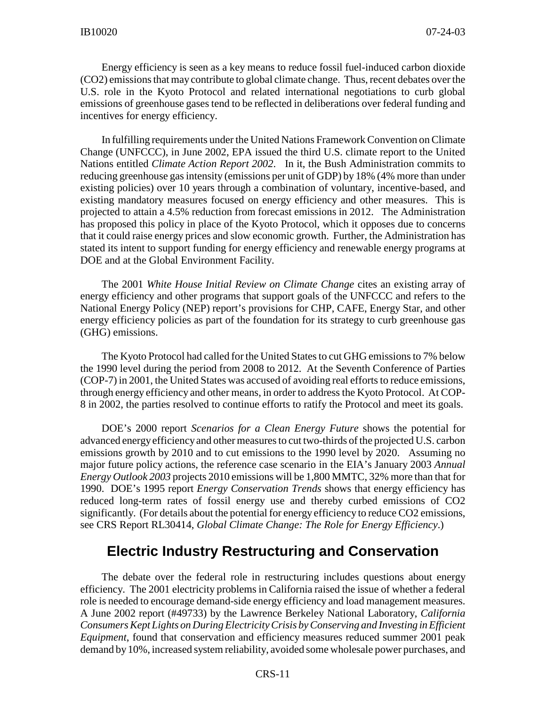Energy efficiency is seen as a key means to reduce fossil fuel-induced carbon dioxide (CO2) emissions that may contribute to global climate change. Thus, recent debates over the U.S. role in the Kyoto Protocol and related international negotiations to curb global emissions of greenhouse gases tend to be reflected in deliberations over federal funding and incentives for energy efficiency.

In fulfilling requirements under the United Nations Framework Convention on Climate Change (UNFCCC), in June 2002, EPA issued the third U.S. climate report to the United Nations entitled *Climate Action Report 2002*. In it, the Bush Administration commits to reducing greenhouse gas intensity (emissions per unit of GDP) by 18% (4% more than under existing policies) over 10 years through a combination of voluntary, incentive-based, and existing mandatory measures focused on energy efficiency and other measures. This is projected to attain a 4.5% reduction from forecast emissions in 2012. The Administration has proposed this policy in place of the Kyoto Protocol, which it opposes due to concerns that it could raise energy prices and slow economic growth. Further, the Administration has stated its intent to support funding for energy efficiency and renewable energy programs at DOE and at the Global Environment Facility.

The 2001 *White House Initial Review on Climate Change* cites an existing array of energy efficiency and other programs that support goals of the UNFCCC and refers to the National Energy Policy (NEP) report's provisions for CHP, CAFE, Energy Star, and other energy efficiency policies as part of the foundation for its strategy to curb greenhouse gas (GHG) emissions.

The Kyoto Protocol had called for the United States to cut GHG emissions to 7% below the 1990 level during the period from 2008 to 2012. At the Seventh Conference of Parties (COP-7) in 2001, the United States was accused of avoiding real efforts to reduce emissions, through energy efficiency and other means, in order to address the Kyoto Protocol. At COP-8 in 2002, the parties resolved to continue efforts to ratify the Protocol and meet its goals.

DOE's 2000 report *Scenarios for a Clean Energy Future* shows the potential for advanced energyefficiencyand other measures to cut two-thirds of the projected U.S. carbon emissions growth by 2010 and to cut emissions to the 1990 level by 2020. Assuming no major future policy actions, the reference case scenario in the EIA's January 2003 *Annual Energy Outlook 2003* projects 2010 emissions will be 1,800 MMTC, 32% more than that for 1990. DOE's 1995 report *Energy Conservation Trends* shows that energy efficiency has reduced long-term rates of fossil energy use and thereby curbed emissions of CO2 significantly. (For details about the potential for energy efficiency to reduce CO2 emissions, see CRS Report RL30414, *Global Climate Change: The Role for Energy Efficiency*.)

# **Electric Industry Restructuring and Conservation**

The debate over the federal role in restructuring includes questions about energy efficiency. The 2001 electricity problems in California raised the issue of whether a federal role is needed to encourage demand-side energy efficiency and load management measures. A June 2002 report (#49733) by the Lawrence Berkeley National Laboratory, *California Consumers Kept Lights on During Electricity Crisis by Conserving and Investing in Efficient Equipment*, found that conservation and efficiency measures reduced summer 2001 peak demand by 10%, increased system reliability, avoided some wholesale power purchases, and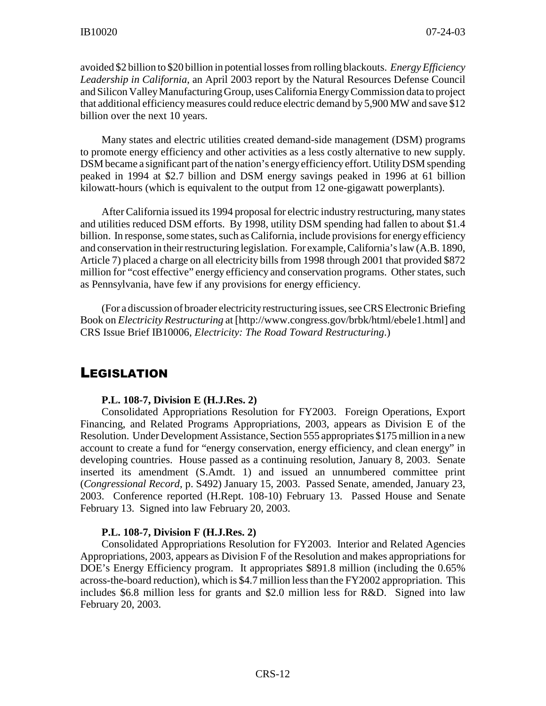avoided \$2 billion to \$20 billion in potential losses from rolling blackouts. *Energy Efficiency Leadership in California*, an April 2003 report by the Natural Resources Defense Council and Silicon ValleyManufacturing Group, uses California EnergyCommission data to project that additional efficiency measures could reduce electric demand by 5,900 MW and save \$12 billion over the next 10 years.

Many states and electric utilities created demand-side management (DSM) programs to promote energy efficiency and other activities as a less costly alternative to new supply. DSM became a significant part of the nation's energy efficiency effort. Utility DSM spending peaked in 1994 at \$2.7 billion and DSM energy savings peaked in 1996 at 61 billion kilowatt-hours (which is equivalent to the output from 12 one-gigawatt powerplants).

After California issued its 1994 proposal for electric industry restructuring, many states and utilities reduced DSM efforts. By 1998, utility DSM spending had fallen to about \$1.4 billion. In response, some states, such as California, include provisionsfor energy efficiency and conservation in their restructuring legislation. For example, California's law (A.B. 1890, Article 7) placed a charge on all electricity bills from 1998 through 2001 that provided \$872 million for "cost effective" energy efficiency and conservation programs. Other states, such as Pennsylvania, have few if any provisions for energy efficiency.

(For a discussion of broader electricityrestructuring issues, see CRS Electronic Briefing Book on *Electricity Restructuring* at [http://www.congress.gov/brbk/html/ebele1.html] and CRS Issue Brief IB10006, *Electricity: The Road Toward Restructuring*.)

## LEGISLATION

#### **P.L. 108-7, Division E (H.J.Res. 2)**

Consolidated Appropriations Resolution for FY2003. Foreign Operations, Export Financing, and Related Programs Appropriations, 2003, appears as Division E of the Resolution. Under Development Assistance, Section 555 appropriates \$175 million in a new account to create a fund for "energy conservation, energy efficiency, and clean energy" in developing countries. House passed as a continuing resolution, January 8, 2003. Senate inserted its amendment (S.Amdt. 1) and issued an unnumbered committee print (*Congressional Record*, p. S492) January 15, 2003. Passed Senate, amended, January 23, 2003. Conference reported (H.Rept. 108-10) February 13. Passed House and Senate February 13. Signed into law February 20, 2003.

#### **P.L. 108-7, Division F (H.J.Res. 2)**

Consolidated Appropriations Resolution for FY2003. Interior and Related Agencies Appropriations, 2003, appears as Division F of the Resolution and makes appropriations for DOE's Energy Efficiency program. It appropriates \$891.8 million (including the 0.65% across-the-board reduction), which is \$4.7 million less than the FY2002 appropriation. This includes \$6.8 million less for grants and \$2.0 million less for R&D. Signed into law February 20, 2003.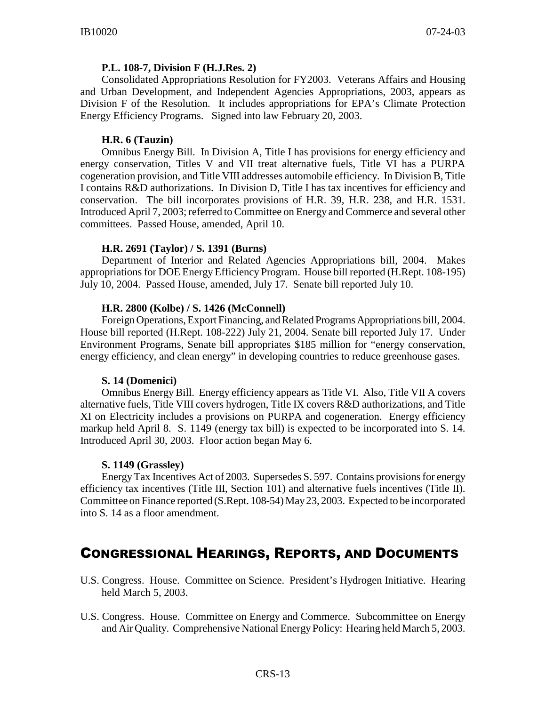#### **P.L. 108-7, Division F (H.J.Res. 2)**

Consolidated Appropriations Resolution for FY2003. Veterans Affairs and Housing and Urban Development, and Independent Agencies Appropriations, 2003, appears as Division F of the Resolution. It includes appropriations for EPA's Climate Protection Energy Efficiency Programs. Signed into law February 20, 2003.

#### **H.R. 6 (Tauzin)**

Omnibus Energy Bill. In Division A, Title I has provisions for energy efficiency and energy conservation, Titles V and VII treat alternative fuels, Title VI has a PURPA cogeneration provision, and Title VIII addresses automobile efficiency. In Division B, Title I contains R&D authorizations. In Division D, Title I has tax incentives for efficiency and conservation. The bill incorporates provisions of H.R. 39, H.R. 238, and H.R. 1531. Introduced April 7, 2003; referred to Committee on Energy and Commerce and several other committees. Passed House, amended, April 10.

#### **H.R. 2691 (Taylor) / S. 1391 (Burns)**

Department of Interior and Related Agencies Appropriations bill, 2004. Makes appropriations for DOE Energy Efficiency Program. House bill reported (H.Rept. 108-195) July 10, 2004. Passed House, amended, July 17. Senate bill reported July 10.

#### **H.R. 2800 (Kolbe) / S. 1426 (McConnell)**

Foreign Operations, Export Financing, and Related Programs Appropriations bill, 2004. House bill reported (H.Rept. 108-222) July 21, 2004. Senate bill reported July 17. Under Environment Programs, Senate bill appropriates \$185 million for "energy conservation, energy efficiency, and clean energy" in developing countries to reduce greenhouse gases.

#### **S. 14 (Domenici)**

Omnibus Energy Bill. Energy efficiency appears as Title VI. Also, Title VII A covers alternative fuels, Title VIII covers hydrogen, Title IX covers R&D authorizations, and Title XI on Electricity includes a provisions on PURPA and cogeneration. Energy efficiency markup held April 8. S. 1149 (energy tax bill) is expected to be incorporated into S. 14. Introduced April 30, 2003. Floor action began May 6.

#### **S. 1149 (Grassley)**

Energy Tax Incentives Act of 2003. Supersedes S. 597. Contains provisions for energy efficiency tax incentives (Title III, Section 101) and alternative fuels incentives (Title II). Committee on Finance reported (S.Rept. 108-54) May23, 2003. Expected to be incorporated into S. 14 as a floor amendment.

#### CONGRESSIONAL HEARINGS, REPORTS, AND DOCUMENTS

- U.S. Congress. House. Committee on Science. President's Hydrogen Initiative. Hearing held March 5, 2003.
- U.S. Congress. House. Committee on Energy and Commerce. Subcommittee on Energy and Air Quality. Comprehensive National Energy Policy: Hearing held March 5, 2003.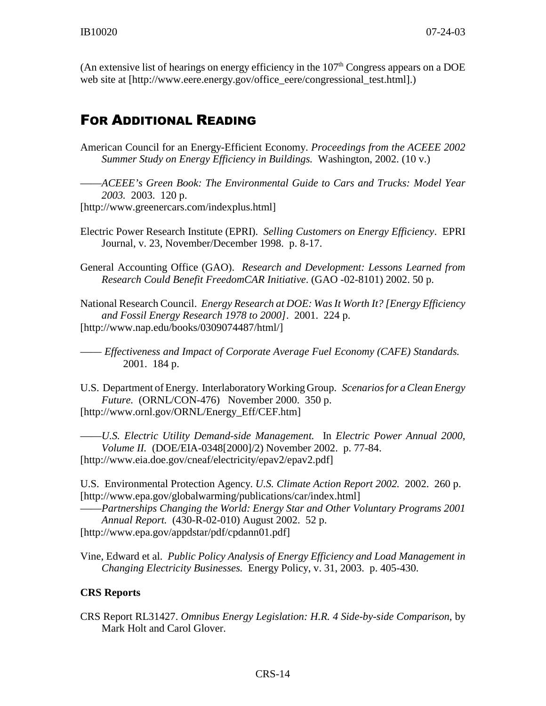(An extensive list of hearings on energy efficiency in the  $107<sup>th</sup>$  Congress appears on a DOE web site at [http://www.eere.energy.gov/office\_eere/congressional\_test.html].)

# FOR ADDITIONAL READING

American Council for an Energy-Efficient Economy. *Proceedings from the ACEEE 2002 Summer Study on Energy Efficiency in Buildings.* Washington, 2002. (10 v.)

——*ACEEE's Green Book: The Environmental Guide to Cars and Trucks: Model Year 2003.* 2003. 120 p. [http://www.greenercars.com/indexplus.html]

Electric Power Research Institute (EPRI). *Selling Customers on Energy Efficiency*. EPRI Journal, v. 23, November/December 1998. p. 8-17.

General Accounting Office (GAO). *Research and Development: Lessons Learned from Research Could Benefit FreedomCAR Initiative*. (GAO -02-8101) 2002. 50 p.

National Research Council. *Energy Research at DOE: Was It Worth It? [Energy Efficiency and Fossil Energy Research 1978 to 2000]*. 2001. 224 p. [http://www.nap.edu/books/0309074487/html/]

—— *Effectiveness and Impact of Corporate Average Fuel Economy (CAFE) Standards.* 2001. 184 p.

U.S. Department of Energy. Interlaboratory Working Group. *Scenarios for a Clean Energy Future.* (ORNL/CON-476) November 2000. 350 p. [http://www.ornl.gov/ORNL/Energy\_Eff/CEF.htm]

——*U.S. Electric Utility Demand-side Management.* In *Electric Power Annual 2000, Volume II.* (DOE/EIA-0348[2000]/2) November 2002. p. 77-84. [http://www.eia.doe.gov/cneaf/electricity/epav2/epav2.pdf]

U.S. Environmental Protection Agency. *U.S. Climate Action Report 2002.* 2002. 260 p. [http://www.epa.gov/globalwarming/publications/car/index.html]

——*Partnerships Changing the World: Energy Star and Other Voluntary Programs 2001 Annual Report.* (430-R-02-010) August 2002. 52 p. [http://www.epa.gov/appdstar/pdf/cpdann01.pdf]

Vine, Edward et al. *Public Policy Analysis of Energy Efficiency and Load Management in Changing Electricity Businesses.* Energy Policy, v. 31, 2003. p. 405-430.

#### **CRS Reports**

CRS Report RL31427. *Omnibus Energy Legislation: H.R. 4 Side-by-side Comparison*, by Mark Holt and Carol Glover.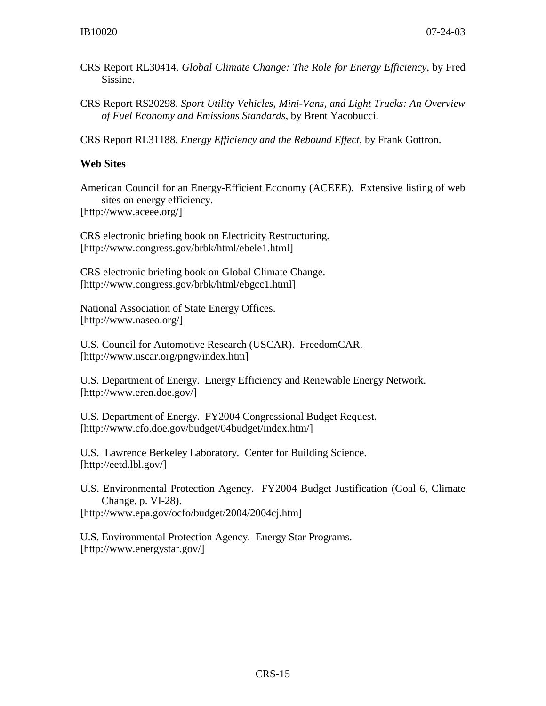- CRS Report RL30414. *Global Climate Change: The Role for Energy Efficiency*, by Fred Sissine.
- CRS Report RS20298. *Sport Utility Vehicles, Mini-Vans, and Light Trucks: An Overview of Fuel Economy and Emissions Standards*, by Brent Yacobucci.

CRS Report RL31188, *Energy Efficiency and the Rebound Effect,* by Frank Gottron.

#### **Web Sites**

American Council for an Energy-Efficient Economy (ACEEE). Extensive listing of web sites on energy efficiency.

[http://www.aceee.org/]

CRS electronic briefing book on Electricity Restructuring. [http://www.congress.gov/brbk/html/ebele1.html]

CRS electronic briefing book on Global Climate Change. [http://www.congress.gov/brbk/html/ebgcc1.html]

National Association of State Energy Offices. [http://www.naseo.org/]

U.S. Council for Automotive Research (USCAR). FreedomCAR. [http://www.uscar.org/pngv/index.htm]

U.S. Department of Energy. Energy Efficiency and Renewable Energy Network. [http://www.eren.doe.gov/]

U.S. Department of Energy. FY2004 Congressional Budget Request. [http://www.cfo.doe.gov/budget/04budget/index.htm/]

U.S. Lawrence Berkeley Laboratory. Center for Building Science. [http://eetd.lbl.gov/]

U.S. Environmental Protection Agency. FY2004 Budget Justification (Goal 6, Climate Change, p. VI-28). [http://www.epa.gov/ocfo/budget/2004/2004cj.htm]

U.S. Environmental Protection Agency. Energy Star Programs. [http://www.energystar.gov/]